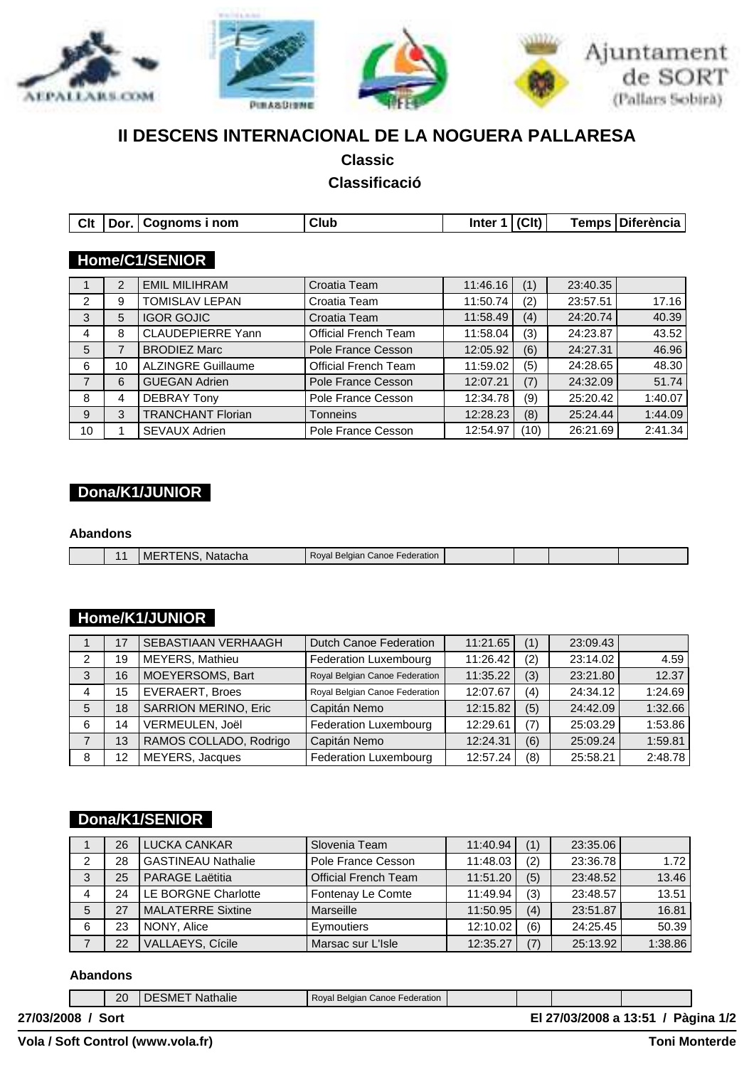

# **II DESCENS INTERNACIONAL DE LA NOGUERA PALLARESA**

**Classic** 

## **Classificació**

| Clt | Dor. l | Cognoms i nom             | Club                        | Inter 1  | (C <sub>l</sub> ) | Temps    | Diferència |
|-----|--------|---------------------------|-----------------------------|----------|-------------------|----------|------------|
|     |        |                           |                             |          |                   |          |            |
|     |        | Home/C1/SENIOR            |                             |          |                   |          |            |
|     | 2      | <b>EMIL MILIHRAM</b>      | Croatia Team                | 11:46.16 | (1)               | 23:40.35 |            |
| 2   | 9      | <b>TOMISLAV LEPAN</b>     | Croatia Team                | 11:50.74 | (2)               | 23:57.51 | 17.16      |
| 3   | 5      | <b>IGOR GOJIC</b>         | Croatia Team                | 11:58.49 | (4)               | 24:20.74 | 40.39      |
| 4   | 8      | <b>CLAUDEPIERRE Yann</b>  | <b>Official French Team</b> | 11:58.04 | (3)               | 24:23.87 | 43.52      |
| 5   | 7      | <b>BRODIEZ Marc</b>       | Pole France Cesson          | 12:05.92 | (6)               | 24:27.31 | 46.96      |
| 6   | 10     | <b>ALZINGRE Guillaume</b> | <b>Official French Team</b> | 11:59.02 | (5)               | 24:28.65 | 48.30      |
| 7   | 6      | <b>GUEGAN Adrien</b>      | Pole France Cesson          | 12:07.21 | (7)               | 24:32.09 | 51.74      |
| 8   | 4      | <b>DEBRAY Tony</b>        | Pole France Cesson          | 12:34.78 | (9)               | 25:20.42 | 1:40.07    |
| 9   | 3      | <b>TRANCHANT Florian</b>  | <b>Tonneins</b>             | 12:28.23 | (8)               | 25:24.44 | 1:44.09    |
| 10  |        | <b>SEVAUX Adrien</b>      | Pole France Cesson          | 12:54.97 | (10)              | 26:21.69 | 2:41.34    |

## **Dona/K1/JUNIOR**

### **Abandons**

|  | :FNS<br>Natacha<br>MEI | Royal Belgian Canoe Federation |  |  |
|--|------------------------|--------------------------------|--|--|

## **Home/K1/JUNIOR**

|   | 17 | SEBASTIAAN VERHAAGH         | <b>Dutch Canoe Federation</b>  | 11:21.65 | (1) | 23:09.43 |         |
|---|----|-----------------------------|--------------------------------|----------|-----|----------|---------|
| 2 | 19 | MEYERS, Mathieu             | Federation Luxembourg          | 11:26.42 | (2) | 23:14.02 | 4.59    |
| 3 | 16 | MOEYERSOMS, Bart            | Royal Belgian Canoe Federation | 11:35.22 | (3) | 23:21.80 | 12.37   |
| 4 | 15 | <b>EVERAERT, Broes</b>      | Royal Belgian Canoe Federation | 12:07.67 | (4) | 24:34.12 | 1:24.69 |
| 5 | 18 | <b>SARRION MERINO, Eric</b> | Capitán Nemo                   | 12:15.82 | (5) | 24:42.09 | 1:32.66 |
| 6 | 14 | VERMEULEN, Joël             | Federation Luxembourg          | 12:29.61 | (7) | 25:03.29 | 1:53.86 |
|   | 13 | RAMOS COLLADO, Rodrigo      | Capitán Nemo                   | 12:24.31 | (6) | 25:09.24 | 1:59.81 |
| 8 | 12 | MEYERS, Jacques             | Federation Luxembourg          | 12:57.24 | (8) | 25:58.21 | 2:48.78 |

# **Dona/K1/SENIOR**

|   | 26 | LUCKA CANKAR              | Slovenia Team               | 11:40.94 | (1) | 23:35.06 |         |
|---|----|---------------------------|-----------------------------|----------|-----|----------|---------|
| 2 | 28 | <b>GASTINEAU Nathalie</b> | Pole France Cesson          | 11:48.03 | (2) | 23:36.78 | 1.72    |
| 3 | 25 | <b>PARAGE Laëtitia</b>    | <b>Official French Team</b> | 11:51.20 | (5) | 23:48.52 | 13.46   |
|   | 24 | LE BORGNE Charlotte       | Fontenay Le Comte           | 11:49.94 | (3) | 23:48.57 | 13.51   |
| 5 | 27 | <b>MALATERRE Sixtine</b>  | Marseille                   | 11:50.95 | (4) | 23:51.87 | 16.81   |
| 6 | 23 | NONY, Alice               | Eymoutiers                  | 12:10.02 | (6) | 24:25.45 | 50.39   |
|   | 22 | VALLAEYS, Cícile          | Marsac sur L'Isle           | 12:35.27 | (7) | 25:13.92 | 1:38.86 |

#### **Abandons**

|                   | 20 | <b>I DESMET Nathalie</b> | Royal Belgian Canoe Federation |  |                                    |  |
|-------------------|----|--------------------------|--------------------------------|--|------------------------------------|--|
| 27/03/2008 / Sort |    |                          |                                |  | El 27/03/2008 a 13:51 / Pàgina 1/2 |  |

**Sylvain Guerraz http://slylafone.free.fr VolaSoftControlPdf Vola / Soft Control (www.vola.fr) Toni Monterde**